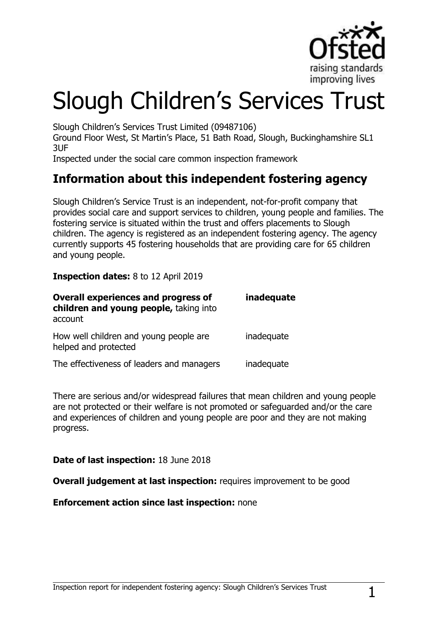

# Slough Children's Services Trust

Slough Children's Services Trust Limited (09487106)

Ground Floor West, St Martin's Place, 51 Bath Road, Slough, Buckinghamshire SL1 3UF

Inspected under the social care common inspection framework

# **Information about this independent fostering agency**

Slough Children's Service Trust is an independent, not-for-profit company that provides social care and support services to children, young people and families. The fostering service is situated within the trust and offers placements to Slough children. The agency is registered as an independent fostering agency. The agency currently supports 45 fostering households that are providing care for 65 children and young people.

## **Inspection dates:** 8 to 12 April 2019

| <b>Overall experiences and progress of</b><br>children and young people, taking into<br>account | inadequate |
|-------------------------------------------------------------------------------------------------|------------|
| How well children and young people are<br>helped and protected                                  | inadequate |
| The effectiveness of leaders and managers                                                       | inadequate |

There are serious and/or widespread failures that mean children and young people are not protected or their welfare is not promoted or safeguarded and/or the care and experiences of children and young people are poor and they are not making progress.

#### **Date of last inspection:** 18 June 2018

**Overall judgement at last inspection:** requires improvement to be good

**Enforcement action since last inspection:** none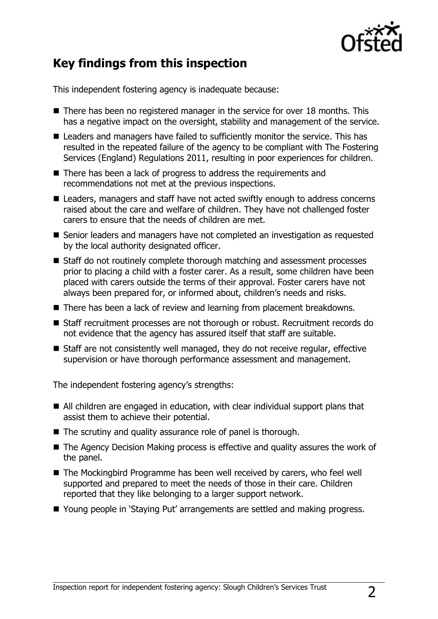

# **Key findings from this inspection**

This independent fostering agency is inadequate because:

- There has been no registered manager in the service for over 18 months. This has a negative impact on the oversight, stability and management of the service.
- Leaders and managers have failed to sufficiently monitor the service. This has resulted in the repeated failure of the agency to be compliant with The Fostering Services (England) Regulations 2011, resulting in poor experiences for children.
- There has been a lack of progress to address the requirements and recommendations not met at the previous inspections.
- Leaders, managers and staff have not acted swiftly enough to address concerns raised about the care and welfare of children. They have not challenged foster carers to ensure that the needs of children are met.
- Senior leaders and managers have not completed an investigation as requested by the local authority designated officer.
- Staff do not routinely complete thorough matching and assessment processes prior to placing a child with a foster carer. As a result, some children have been placed with carers outside the terms of their approval. Foster carers have not always been prepared for, or informed about, children's needs and risks.
- There has been a lack of review and learning from placement breakdowns.
- Staff recruitment processes are not thorough or robust. Recruitment records do not evidence that the agency has assured itself that staff are suitable.
- Staff are not consistently well managed, they do not receive regular, effective supervision or have thorough performance assessment and management.

The independent fostering agency's strengths:

- All children are engaged in education, with clear individual support plans that assist them to achieve their potential.
- The scrutiny and quality assurance role of panel is thorough.
- The Agency Decision Making process is effective and quality assures the work of the panel.
- The Mockingbird Programme has been well received by carers, who feel well supported and prepared to meet the needs of those in their care. Children reported that they like belonging to a larger support network.
- Young people in 'Staying Put' arrangements are settled and making progress.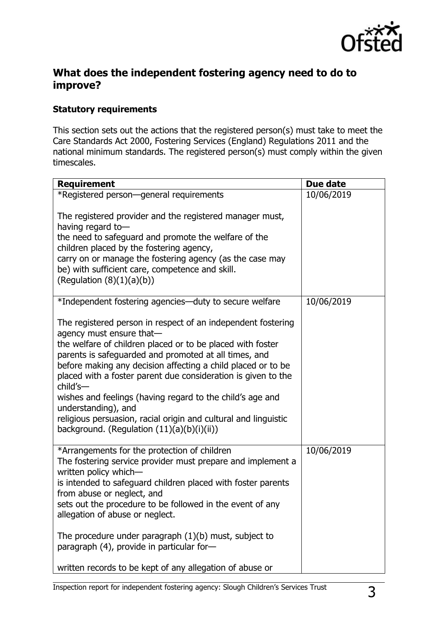

## **What does the independent fostering agency need to do to improve?**

#### **Statutory requirements**

This section sets out the actions that the registered person(s) must take to meet the Care Standards Act 2000, Fostering Services (England) Regulations 2011 and the national minimum standards. The registered person(s) must comply within the given timescales.

| <b>Requirement</b>                                                                                                                   | Due date   |
|--------------------------------------------------------------------------------------------------------------------------------------|------------|
| *Registered person-general requirements                                                                                              | 10/06/2019 |
| The registered provider and the registered manager must,<br>having regard to-                                                        |            |
| the need to safeguard and promote the welfare of the<br>children placed by the fostering agency,                                     |            |
| carry on or manage the fostering agency (as the case may                                                                             |            |
| be) with sufficient care, competence and skill.<br>(Regulation $(8)(1)(a)(b)$ )                                                      |            |
| *Independent fostering agencies—duty to secure welfare                                                                               | 10/06/2019 |
| The registered person in respect of an independent fostering<br>agency must ensure that-                                             |            |
| the welfare of children placed or to be placed with foster<br>parents is safeguarded and promoted at all times, and                  |            |
| before making any decision affecting a child placed or to be                                                                         |            |
| placed with a foster parent due consideration is given to the<br>$child's$ –                                                         |            |
| wishes and feelings (having regard to the child's age and<br>understanding), and                                                     |            |
| religious persuasion, racial origin and cultural and linguistic                                                                      |            |
| background. (Regulation $(11)(a)(b)(i)(ii))$                                                                                         |            |
| *Arrangements for the protection of children<br>The fostering service provider must prepare and implement a<br>written policy which- | 10/06/2019 |
| is intended to safeguard children placed with foster parents                                                                         |            |
| from abuse or neglect, and<br>sets out the procedure to be followed in the event of any                                              |            |
| allegation of abuse or neglect.                                                                                                      |            |
| The procedure under paragraph $(1)(b)$ must, subject to<br>paragraph (4), provide in particular for-                                 |            |
|                                                                                                                                      |            |
| written records to be kept of any allegation of abuse or                                                                             |            |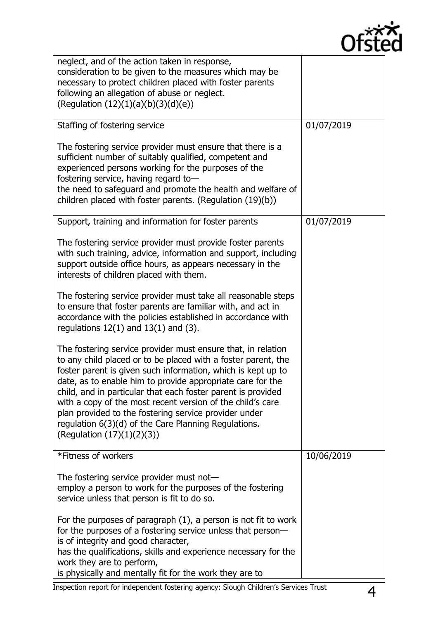

| neglect, and of the action taken in response,<br>consideration to be given to the measures which may be<br>necessary to protect children placed with foster parents<br>following an allegation of abuse or neglect.<br>(Regulation $(12)(1)(a)(b)(3)(d)(e)$ )                                                                                                                                                                                                                                                                               |            |
|---------------------------------------------------------------------------------------------------------------------------------------------------------------------------------------------------------------------------------------------------------------------------------------------------------------------------------------------------------------------------------------------------------------------------------------------------------------------------------------------------------------------------------------------|------------|
| Staffing of fostering service<br>The fostering service provider must ensure that there is a<br>sufficient number of suitably qualified, competent and<br>experienced persons working for the purposes of the                                                                                                                                                                                                                                                                                                                                | 01/07/2019 |
| fostering service, having regard to-<br>the need to safeguard and promote the health and welfare of<br>children placed with foster parents. (Regulation (19)(b))                                                                                                                                                                                                                                                                                                                                                                            |            |
| Support, training and information for foster parents                                                                                                                                                                                                                                                                                                                                                                                                                                                                                        | 01/07/2019 |
| The fostering service provider must provide foster parents<br>with such training, advice, information and support, including<br>support outside office hours, as appears necessary in the<br>interests of children placed with them.                                                                                                                                                                                                                                                                                                        |            |
| The fostering service provider must take all reasonable steps<br>to ensure that foster parents are familiar with, and act in<br>accordance with the policies established in accordance with<br>regulations $12(1)$ and $13(1)$ and $(3)$ .                                                                                                                                                                                                                                                                                                  |            |
| The fostering service provider must ensure that, in relation<br>to any child placed or to be placed with a foster parent, the<br>foster parent is given such information, which is kept up to<br>date, as to enable him to provide appropriate care for the<br>child, and in particular that each foster parent is provided<br>with a copy of the most recent version of the child's care<br>plan provided to the fostering service provider under<br>regulation 6(3)(d) of the Care Planning Regulations.<br>(Regulation $(17)(1)(2)(3)$ ) |            |
| *Fitness of workers                                                                                                                                                                                                                                                                                                                                                                                                                                                                                                                         | 10/06/2019 |
| The fostering service provider must not-<br>employ a person to work for the purposes of the fostering<br>service unless that person is fit to do so.                                                                                                                                                                                                                                                                                                                                                                                        |            |
| For the purposes of paragraph $(1)$ , a person is not fit to work<br>for the purposes of a fostering service unless that person-<br>is of integrity and good character,<br>has the qualifications, skills and experience necessary for the<br>work they are to perform,<br>is physically and mentally fit for the work they are to                                                                                                                                                                                                          |            |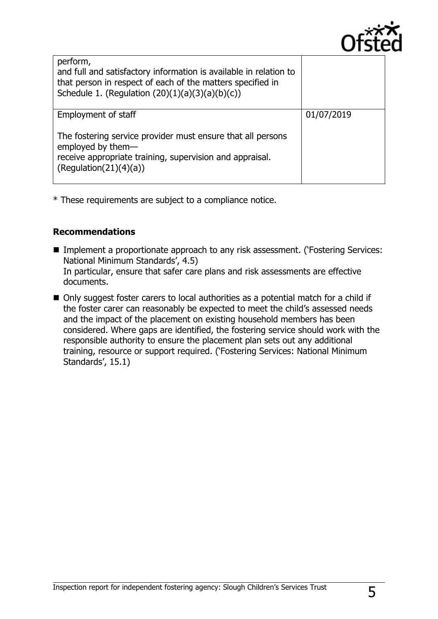

| perform,<br>and full and satisfactory information is available in relation to<br>that person in respect of each of the matters specified in<br>Schedule 1. (Regulation $(20)(1)(a)(3)(a)(b)(c)$ ) |            |
|---------------------------------------------------------------------------------------------------------------------------------------------------------------------------------------------------|------------|
| Employment of staff                                                                                                                                                                               | 01/07/2019 |
| The fostering service provider must ensure that all persons<br>employed by them-<br>receive appropriate training, supervision and appraisal.<br>(Regularion(21)(4)(a))                            |            |

\* These requirements are subject to a compliance notice.

## **Recommendations**

- Implement a proportionate approach to any risk assessment. ('Fostering Services: National Minimum Standards', 4.5) In particular, ensure that safer care plans and risk assessments are effective documents.
- Only suggest foster carers to local authorities as a potential match for a child if the foster carer can reasonably be expected to meet the child's assessed needs and the impact of the placement on existing household members has been considered. Where gaps are identified, the fostering service should work with the responsible authority to ensure the placement plan sets out any additional training, resource or support required. ('Fostering Services: National Minimum Standards', 15.1)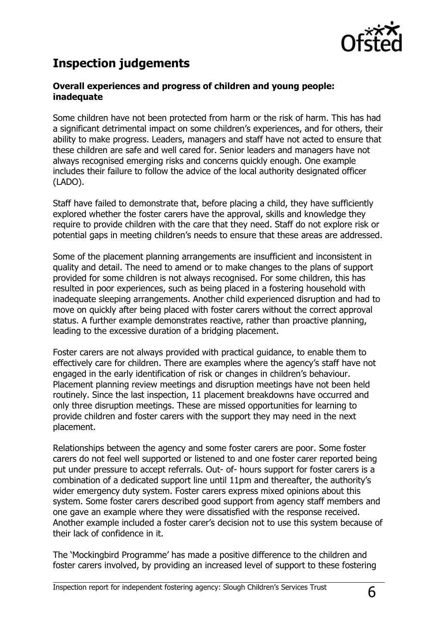

# **Inspection judgements**

## **Overall experiences and progress of children and young people: inadequate**

Some children have not been protected from harm or the risk of harm. This has had a significant detrimental impact on some children's experiences, and for others, their ability to make progress. Leaders, managers and staff have not acted to ensure that these children are safe and well cared for. Senior leaders and managers have not always recognised emerging risks and concerns quickly enough. One example includes their failure to follow the advice of the local authority designated officer (LADO).

Staff have failed to demonstrate that, before placing a child, they have sufficiently explored whether the foster carers have the approval, skills and knowledge they require to provide children with the care that they need. Staff do not explore risk or potential gaps in meeting children's needs to ensure that these areas are addressed.

Some of the placement planning arrangements are insufficient and inconsistent in quality and detail. The need to amend or to make changes to the plans of support provided for some children is not always recognised. For some children, this has resulted in poor experiences, such as being placed in a fostering household with inadequate sleeping arrangements. Another child experienced disruption and had to move on quickly after being placed with foster carers without the correct approval status. A further example demonstrates reactive, rather than proactive planning, leading to the excessive duration of a bridging placement.

Foster carers are not always provided with practical guidance, to enable them to effectively care for children. There are examples where the agency's staff have not engaged in the early identification of risk or changes in children's behaviour. Placement planning review meetings and disruption meetings have not been held routinely. Since the last inspection, 11 placement breakdowns have occurred and only three disruption meetings. These are missed opportunities for learning to provide children and foster carers with the support they may need in the next placement.

Relationships between the agency and some foster carers are poor. Some foster carers do not feel well supported or listened to and one foster carer reported being put under pressure to accept referrals. Out- of- hours support for foster carers is a combination of a dedicated support line until 11pm and thereafter, the authority's wider emergency duty system. Foster carers express mixed opinions about this system. Some foster carers described good support from agency staff members and one gave an example where they were dissatisfied with the response received. Another example included a foster carer's decision not to use this system because of their lack of confidence in it.

The 'Mockingbird Programme' has made a positive difference to the children and foster carers involved, by providing an increased level of support to these fostering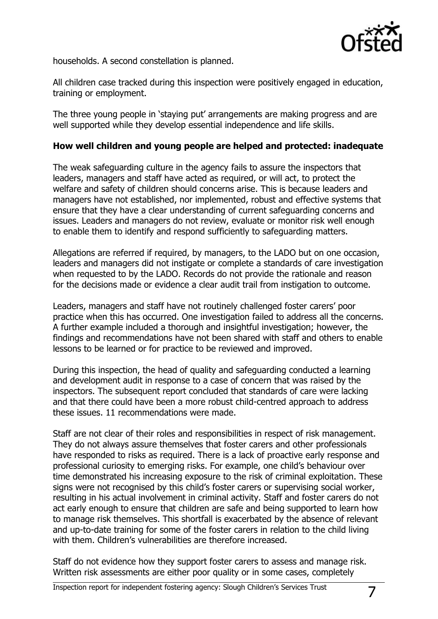

households. A second constellation is planned.

All children case tracked during this inspection were positively engaged in education, training or employment.

The three young people in 'staying put' arrangements are making progress and are well supported while they develop essential independence and life skills.

#### **How well children and young people are helped and protected: inadequate**

The weak safeguarding culture in the agency fails to assure the inspectors that leaders, managers and staff have acted as required, or will act, to protect the welfare and safety of children should concerns arise. This is because leaders and managers have not established, nor implemented, robust and effective systems that ensure that they have a clear understanding of current safeguarding concerns and issues. Leaders and managers do not review, evaluate or monitor risk well enough to enable them to identify and respond sufficiently to safeguarding matters.

Allegations are referred if required, by managers, to the LADO but on one occasion, leaders and managers did not instigate or complete a standards of care investigation when requested to by the LADO. Records do not provide the rationale and reason for the decisions made or evidence a clear audit trail from instigation to outcome.

Leaders, managers and staff have not routinely challenged foster carers' poor practice when this has occurred. One investigation failed to address all the concerns. A further example included a thorough and insightful investigation; however, the findings and recommendations have not been shared with staff and others to enable lessons to be learned or for practice to be reviewed and improved.

During this inspection, the head of quality and safeguarding conducted a learning and development audit in response to a case of concern that was raised by the inspectors. The subsequent report concluded that standards of care were lacking and that there could have been a more robust child-centred approach to address these issues. 11 recommendations were made.

Staff are not clear of their roles and responsibilities in respect of risk management. They do not always assure themselves that foster carers and other professionals have responded to risks as required. There is a lack of proactive early response and professional curiosity to emerging risks. For example, one child's behaviour over time demonstrated his increasing exposure to the risk of criminal exploitation. These signs were not recognised by this child's foster carers or supervising social worker, resulting in his actual involvement in criminal activity. Staff and foster carers do not act early enough to ensure that children are safe and being supported to learn how to manage risk themselves. This shortfall is exacerbated by the absence of relevant and up-to-date training for some of the foster carers in relation to the child living with them. Children's vulnerabilities are therefore increased.

Staff do not evidence how they support foster carers to assess and manage risk. Written risk assessments are either poor quality or in some cases, completely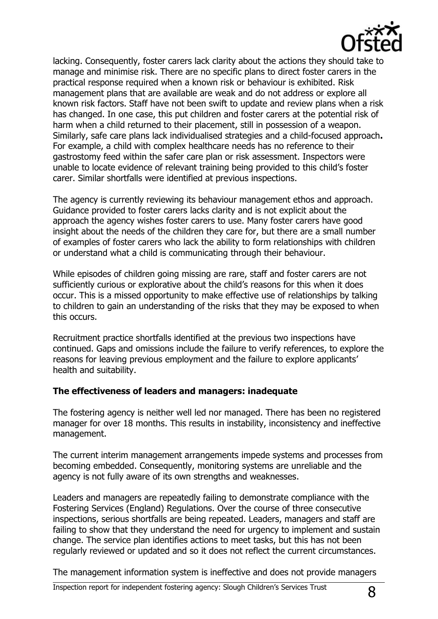

lacking. Consequently, foster carers lack clarity about the actions they should take to manage and minimise risk. There are no specific plans to direct foster carers in the practical response required when a known risk or behaviour is exhibited. Risk management plans that are available are weak and do not address or explore all known risk factors. Staff have not been swift to update and review plans when a risk has changed. In one case, this put children and foster carers at the potential risk of harm when a child returned to their placement, still in possession of a weapon. Similarly, safe care plans lack individualised strategies and a child-focused approach**.**  For example, a child with complex healthcare needs has no reference to their gastrostomy feed within the safer care plan or risk assessment. Inspectors were unable to locate evidence of relevant training being provided to this child's foster carer. Similar shortfalls were identified at previous inspections.

The agency is currently reviewing its behaviour management ethos and approach. Guidance provided to foster carers lacks clarity and is not explicit about the approach the agency wishes foster carers to use. Many foster carers have good insight about the needs of the children they care for, but there are a small number of examples of foster carers who lack the ability to form relationships with children or understand what a child is communicating through their behaviour.

While episodes of children going missing are rare, staff and foster carers are not sufficiently curious or explorative about the child's reasons for this when it does occur. This is a missed opportunity to make effective use of relationships by talking to children to gain an understanding of the risks that they may be exposed to when this occurs.

Recruitment practice shortfalls identified at the previous two inspections have continued. Gaps and omissions include the failure to verify references, to explore the reasons for leaving previous employment and the failure to explore applicants' health and suitability.

#### **The effectiveness of leaders and managers: inadequate**

The fostering agency is neither well led nor managed. There has been no registered manager for over 18 months. This results in instability, inconsistency and ineffective management.

The current interim management arrangements impede systems and processes from becoming embedded. Consequently, monitoring systems are unreliable and the agency is not fully aware of its own strengths and weaknesses.

Leaders and managers are repeatedly failing to demonstrate compliance with the Fostering Services (England) Regulations. Over the course of three consecutive inspections, serious shortfalls are being repeated. Leaders, managers and staff are failing to show that they understand the need for urgency to implement and sustain change. The service plan identifies actions to meet tasks, but this has not been regularly reviewed or updated and so it does not reflect the current circumstances.

The management information system is ineffective and does not provide managers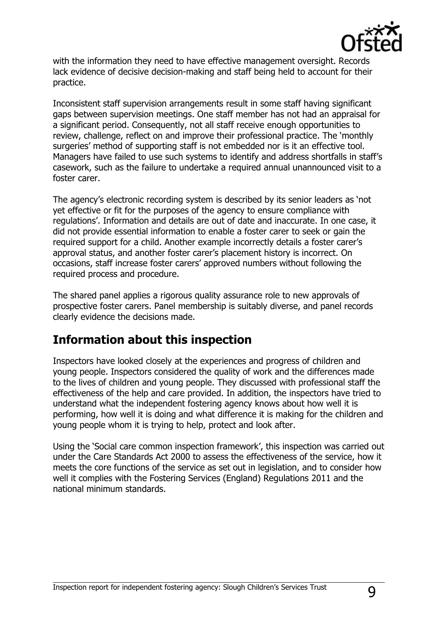

with the information they need to have effective management oversight. Records lack evidence of decisive decision-making and staff being held to account for their practice.

Inconsistent staff supervision arrangements result in some staff having significant gaps between supervision meetings. One staff member has not had an appraisal for a significant period. Consequently, not all staff receive enough opportunities to review, challenge, reflect on and improve their professional practice. The 'monthly surgeries' method of supporting staff is not embedded nor is it an effective tool. Managers have failed to use such systems to identify and address shortfalls in staff's casework, such as the failure to undertake a required annual unannounced visit to a foster carer.

The agency's electronic recording system is described by its senior leaders as 'not yet effective or fit for the purposes of the agency to ensure compliance with regulations'. Information and details are out of date and inaccurate. In one case, it did not provide essential information to enable a foster carer to seek or gain the required support for a child. Another example incorrectly details a foster carer's approval status, and another foster carer's placement history is incorrect. On occasions, staff increase foster carers' approved numbers without following the required process and procedure.

The shared panel applies a rigorous quality assurance role to new approvals of prospective foster carers. Panel membership is suitably diverse, and panel records clearly evidence the decisions made.

## **Information about this inspection**

Inspectors have looked closely at the experiences and progress of children and young people. Inspectors considered the quality of work and the differences made to the lives of children and young people. They discussed with professional staff the effectiveness of the help and care provided. In addition, the inspectors have tried to understand what the independent fostering agency knows about how well it is performing, how well it is doing and what difference it is making for the children and young people whom it is trying to help, protect and look after.

Using the 'Social care common inspection framework', this inspection was carried out under the Care Standards Act 2000 to assess the effectiveness of the service, how it meets the core functions of the service as set out in legislation, and to consider how well it complies with the Fostering Services (England) Regulations 2011 and the national minimum standards.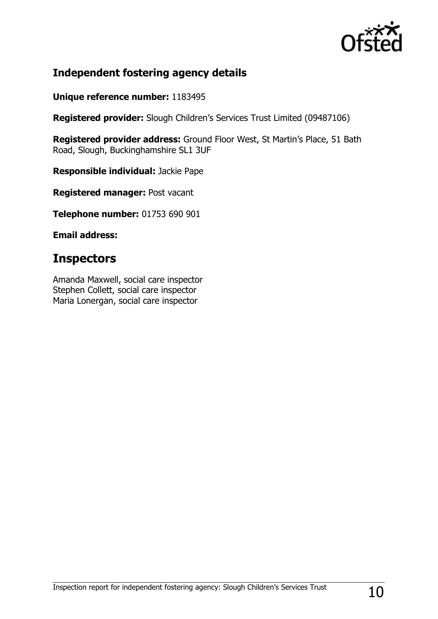

## **Independent fostering agency details**

**Unique reference number:** 1183495

**Registered provider:** Slough Children's Services Trust Limited (09487106)

**Registered provider address:** Ground Floor West, St Martin's Place, 51 Bath Road, Slough, Buckinghamshire SL1 3UF

**Responsible individual:** Jackie Pape

**Registered manager:** Post vacant

**Telephone number:** 01753 690 901

**Email address:** 

## **Inspectors**

Amanda Maxwell, social care inspector Stephen Collett, social care inspector Maria Lonergan, social care inspector